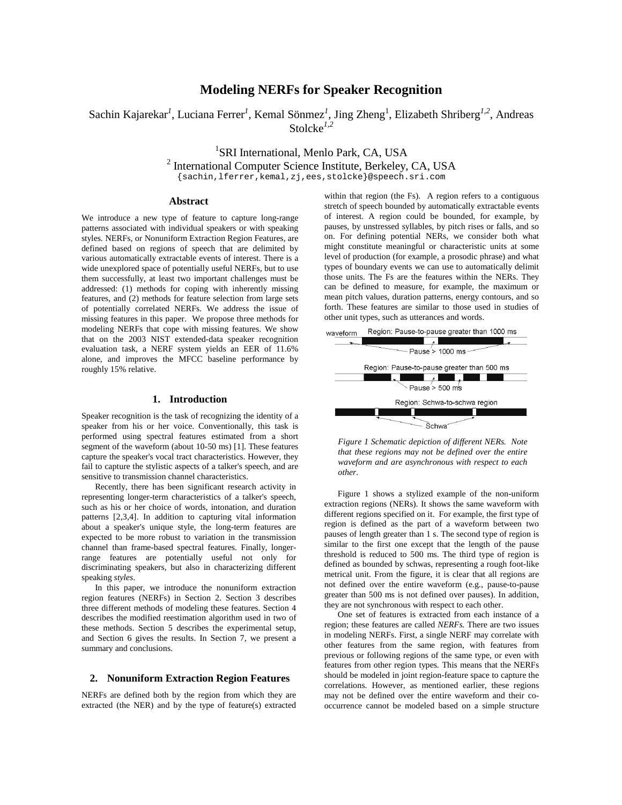# **Modeling NERFs for Speaker Recognition**

Sachin Kajarekar<sup>1</sup>, Luciana Ferrer<sup>1</sup>, Kemal Sönmez<sup>1</sup>, Jing Zheng<sup>1</sup>, Elizabeth Shriberg<sup>1,2</sup>, Andreas Stolcke*1,2*

<sup>1</sup>SRI International, Menlo Park, CA, USA

<sup>2</sup> International Computer Science Institute, Berkeley, CA, USA

{sachin,lferrer,kemal,zj,ees,stolcke}@speech.sri.com

# **Abstract**

We introduce a new type of feature to capture long-range patterns associated with individual speakers or with speaking styles. NERFs, or Nonuniform Extraction Region Features, are defined based on regions of speech that are delimited by various automatically extractable events of interest. There is a wide unexplored space of potentially useful NERFs, but to use them successfully, at least two important challenges must be addressed: (1) methods for coping with inherently missing features, and (2) methods for feature selection from large sets of potentially correlated NERFs. We address the issue of missing features in this paper. We propose three methods for modeling NERFs that cope with missing features. We show that on the 2003 NIST extended-data speaker recognition evaluation task, a NERF system yields an EER of 11.6% alone, and improves the MFCC baseline performance by roughly 15% relative.

## **1. Introduction**

Speaker recognition is the task of recognizing the identity of a speaker from his or her voice. Conventionally, this task is performed using spectral features estimated from a short segment of the waveform (about 10-50 ms) [1]. These features capture the speaker's vocal tract characteristics. However, they fail to capture the stylistic aspects of a talker's speech, and are sensitive to transmission channel characteristics.

Recently, there has been significant research activity in representing longer-term characteristics of a talker's speech, such as his or her choice of words, intonation, and duration patterns [2,3,4]. In addition to capturing vital information about a speaker's unique style, the long-term features are expected to be more robust to variation in the transmission channel than frame-based spectral features. Finally, longerrange features are potentially useful not only for discriminating speakers, but also in characterizing different speaking *styles*.

In this paper, we introduce the nonuniform extraction region features (NERFs) in Section 2. Section 3 describes three different methods of modeling these features. Section 4 describes the modified reestimation algorithm used in two of these methods. Section 5 describes the experimental setup, and Section 6 gives the results. In Section 7, we present a summary and conclusions.

#### **2. Nonuniform Extraction Region Features**

NERFs are defined both by the region from which they are extracted (the NER) and by the type of feature(s) extracted within that region (the Fs). A region refers to a contiguous stretch of speech bounded by automatically extractable events of interest. A region could be bounded, for example, by pauses, by unstressed syllables, by pitch rises or falls, and so on. For defining potential NERs, we consider both what might constitute meaningful or characteristic units at some level of production (for example, a prosodic phrase) and what types of boundary events we can use to automatically delimit those units. The Fs are the features within the NERs. They can be defined to measure, for example, the maximum or mean pitch values, duration patterns, energy contours, and so forth. These features are similar to those used in studies of other unit types, such as utterances and words.



*Figure 1 Schematic depiction of different NERs. Note that these regions may not be defined over the entire waveform and are asynchronous with respect to each other.*

Figure 1 shows a stylized example of the non-uniform extraction regions (NERs). It shows the same waveform with different regions specified on it. For example, the first type of region is defined as the part of a waveform between two pauses of length greater than 1 s. The second type of region is similar to the first one except that the length of the pause threshold is reduced to 500 ms. The third type of region is defined as bounded by schwas, representing a rough foot-like metrical unit. From the figure, it is clear that all regions are not defined over the entire waveform (e.g., pause-to-pause greater than 500 ms is not defined over pauses). In addition, they are not synchronous with respect to each other.

One set of features is extracted from each instance of a region; these features are called *NERFs.* There are two issues in modeling NERFs. First, a single NERF may correlate with other features from the same region, with features from previous or following regions of the same type, or even with features from other region types. This means that the NERFs should be modeled in joint region-feature space to capture the correlations. However, as mentioned earlier, these regions may not be defined over the entire waveform and their cooccurrence cannot be modeled based on a simple structure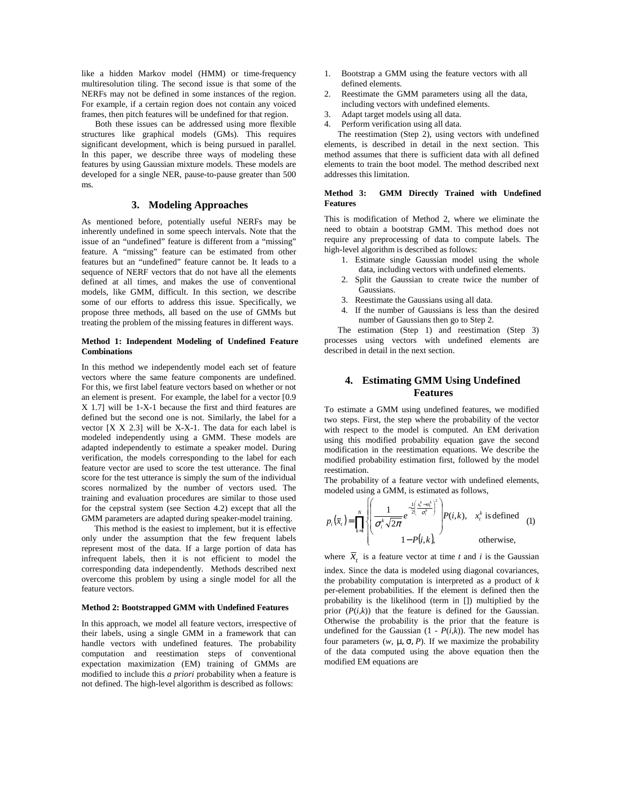like a hidden Markov model (HMM) or time-frequency multiresolution tiling. The second issue is that some of the NERFs may not be defined in some instances of the region. For example, if a certain region does not contain any voiced frames, then pitch features will be undefined for that region.

Both these issues can be addressed using more flexible structures like graphical models (GMs). This requires significant development, which is being pursued in parallel. In this paper, we describe three ways of modeling these features by using Gaussian mixture models. These models are developed for a single NER, pause-to-pause greater than 500 ms.

## **3. Modeling Approaches**

As mentioned before, potentially useful NERFs may be inherently undefined in some speech intervals. Note that the issue of an "undefined" feature is different from a "missing" feature. A "missing" feature can be estimated from other features but an "undefined" feature cannot be. It leads to a sequence of NERF vectors that do not have all the elements defined at all times, and makes the use of conventional models, like GMM, difficult. In this section, we describe some of our efforts to address this issue. Specifically, we propose three methods, all based on the use of GMMs but treating the problem of the missing features in different ways.

### **Method 1: Independent Modeling of Undefined Feature Combinations**

In this method we independently model each set of feature vectors where the same feature components are undefined. For this, we first label feature vectors based on whether or not an element is present. For example, the label for a vector [0.9 X 1.7] will be 1-X-1 because the first and third features are defined but the second one is not. Similarly, the label for a vector [X X 2.3] will be X-X-1. The data for each label is modeled independently using a GMM. These models are adapted independently to estimate a speaker model. During verification, the models corresponding to the label for each feature vector are used to score the test utterance. The final score for the test utterance is simply the sum of the individual scores normalized by the number of vectors used. The training and evaluation procedures are similar to those used for the cepstral system (see Section 4.2) except that all the GMM parameters are adapted during speaker-model training.

This method is the easiest to implement, but it is effective only under the assumption that the few frequent labels represent most of the data. If a large portion of data has infrequent labels, then it is not efficient to model the corresponding data independently. Methods described next overcome this problem by using a single model for all the feature vectors.

#### **Method 2: Bootstrapped GMM with Undefined Features**

In this approach, we model all feature vectors, irrespective of their labels, using a single GMM in a framework that can handle vectors with undefined features. The probability computation and reestimation steps of conventional expectation maximization (EM) training of GMMs are modified to include this *a priori* probability when a feature is not defined. The high-level algorithm is described as follows:

- 1. Bootstrap a GMM using the feature vectors with all defined elements.
- 2. Reestimate the GMM parameters using all the data, including vectors with undefined elements.
- 3. Adapt target models using all data.
- 4. Perform verification using all data.

The reestimation (Step 2), using vectors with undefined elements, is described in detail in the next section. This method assumes that there is sufficient data with all defined elements to train the boot model. The method described next addresses this limitation.

### **Method 3: GMM Directly Trained with Undefined Features**

This is modification of Method 2, where we eliminate the need to obtain a bootstrap GMM. This method does not require any preprocessing of data to compute labels. The high-level algorithm is described as follows:

- 1. Estimate single Gaussian model using the whole data, including vectors with undefined elements.
- 2. Split the Gaussian to create twice the number of Gaussians.
- 3. Reestimate the Gaussians using all data.
- 4. If the number of Gaussians is less than the desired number of Gaussians then go to Step 2.

The estimation (Step 1) and reestimation (Step 3) processes using vectors with undefined elements are described in detail in the next section.

# **4. Estimating GMM Using Undefined Features**

To estimate a GMM using undefined features, we modified two steps. First, the step where the probability of the vector with respect to the model is computed. An EM derivation using this modified probability equation gave the second modification in the reestimation equations. We describe the modified probability estimation first, followed by the model reestimation.

The probability of a feature vector with undefined elements, modeled using a GMM, is estimated as follows,

$$
p_i(\bar{x}_t) = \prod_{k=1}^N \left\{ \left( \frac{1}{\sigma_i^k \sqrt{2\pi}} e^{-\frac{1}{2} \left( \frac{x_i^k - m_i^k}{\sigma_i^k} \right)^2} \right) P(i,k), \quad x_i^k \text{ is defined} \quad (1)
$$
  
1- P(i,k), otherwise,

where  $\overline{x}_t$  is a feature vector at time *t* and *i* is the Gaussian index. Since the data is modeled using diagonal covariances, the probability computation is interpreted as a product of *k* per-element probabilities. If the element is defined then the probability is the likelihood (term in []) multiplied by the prior  $(P(i,k))$  that the feature is defined for the Gaussian. Otherwise the probability is the prior that the feature is undefined for the Gaussian  $(1 - P(i, k))$ . The new model has four parameters (*w,* µ, σ, *P*). If we maximize the probability of the data computed using the above equation then the modified EM equations are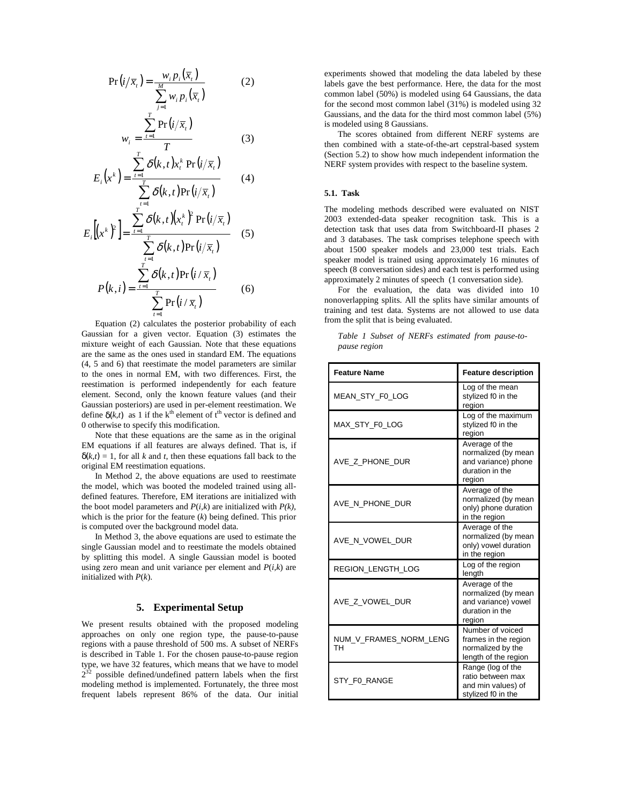$$
Pr(i/\overline{x}_i) = \frac{w_i p_i(\overline{x}_i)}{\sum_{j=1}^{M} w_i p_i(\overline{x}_i)}
$$
(2)

$$
w_i = \frac{\sum_{t=1}^{1} \Pr(i/\overline{x}_t)}{T}
$$
 (3)

$$
E_i(x^k) = \frac{\sum_{t=1}^T \delta(k, t)x_t^k \Pr(i/\overline{x}_t)}{\sum_{t=1}^T \delta(k, t) \Pr(i/\overline{x}_t)}
$$
(4)  

$$
E_i[(x^k)^2] = \frac{\sum_{t=1}^T \delta(k, t)(x_t^k)^2 \Pr(i/\overline{x}_t)}{\sum_{t=1}^T \delta(k, t) \Pr(i/\overline{x}_t)}
$$
(5)  

$$
P(k, i) = \frac{\sum_{t=1}^T \delta(k, t) \Pr(i/\overline{x}_t)}{\sum_{t=1}^T \Pr(i/\overline{x}_t)}
$$
(6)

Equation (2) calculates the posterior probability of each Gaussian for a given vector. Equation (3) estimates the mixture weight of each Gaussian. Note that these equations are the same as the ones used in standard EM. The equations (4, 5 and 6) that reestimate the model parameters are similar to the ones in normal EM, with two differences. First, the reestimation is performed independently for each feature element. Second, only the known feature values (and their Gaussian posteriors) are used in per-element reestimation. We define  $\delta(k, t)$  as 1 if the k<sup>th</sup> element of t<sup>th</sup> vector is defined and 0 otherwise to specify this modification.

Note that these equations are the same as in the original EM equations if all features are always defined. That is, if  $\delta(k,t) = 1$ , for all *k* and *t*, then these equations fall back to the original EM reestimation equations.

In Method 2, the above equations are used to reestimate the model, which was booted the modeled trained using alldefined features. Therefore, EM iterations are initialized with the boot model parameters and  $P(i,k)$  are initialized with  $P(k)$ , which is the prior for the feature (*k*) being defined. This prior is computed over the background model data.

In Method 3, the above equations are used to estimate the single Gaussian model and to reestimate the models obtained by splitting this model. A single Gaussian model is booted using zero mean and unit variance per element and *P*(*i,k*) are initialized with *P*(*k*).

## **5. Experimental Setup**

We present results obtained with the proposed modeling approaches on only one region type, the pause-to-pause regions with a pause threshold of 500 ms. A subset of NERFs is described in Table 1. For the chosen pause-to-pause region type, we have 32 features, which means that we have to model  $2^{32}$  possible defined/undefined pattern labels when the first modeling method is implemented. Fortunately, the three most frequent labels represent 86% of the data. Our initial

experiments showed that modeling the data labeled by these labels gave the best performance. Here, the data for the most common label (50%) is modeled using 64 Gaussians, the data for the second most common label (31%) is modeled using 32 Gaussians, and the data for the third most common label (5%) is modeled using 8 Gaussians.

The scores obtained from different NERF systems are then combined with a state-of-the-art cepstral-based system (Section 5.2) to show how much independent information the NERF system provides with respect to the baseline system.

## **5.1. Task**

The modeling methods described were evaluated on NIST 2003 extended-data speaker recognition task. This is a detection task that uses data from Switchboard-II phases 2 and 3 databases. The task comprises telephone speech with about 1500 speaker models and 23,000 test trials. Each speaker model is trained using approximately 16 minutes of speech (8 conversation sides) and each test is performed using approximately 2 minutes of speech (1 conversation side).

For the evaluation, the data was divided into 10 nonoverlapping splits. All the splits have similar amounts of training and test data. Systems are not allowed to use data from the split that is being evaluated.

*Table 1 Subset of NERFs estimated from pause-topause region* 

| <b>Feature Name</b>          | <b>Feature description</b>                                                                |
|------------------------------|-------------------------------------------------------------------------------------------|
| MEAN STY FO LOG              | Log of the mean<br>stylized f0 in the<br>region                                           |
| MAX_STY_F0_LOG               | Log of the maximum<br>stylized f0 in the<br>region                                        |
| AVE_Z_PHONE_DUR              | Average of the<br>normalized (by mean<br>and variance) phone<br>duration in the<br>region |
| AVE N PHONE DUR              | Average of the<br>normalized (by mean<br>only) phone duration<br>in the region            |
| AVE_N_VOWEL_DUR              | Average of the<br>normalized (by mean<br>only) vowel duration<br>in the region            |
| <b>REGION LENGTH LOG</b>     | Log of the region<br>length                                                               |
| AVE Z_VOWEL_DUR              | Average of the<br>normalized (by mean<br>and variance) vowel<br>duration in the<br>region |
| NUM_V_FRAMES_NORM_LENG<br>TН | Number of voiced<br>frames in the region<br>normalized by the<br>length of the region     |
| STY_F0_RANGE                 | Range (log of the<br>ratio between max<br>and min values) of<br>stylized f0 in the        |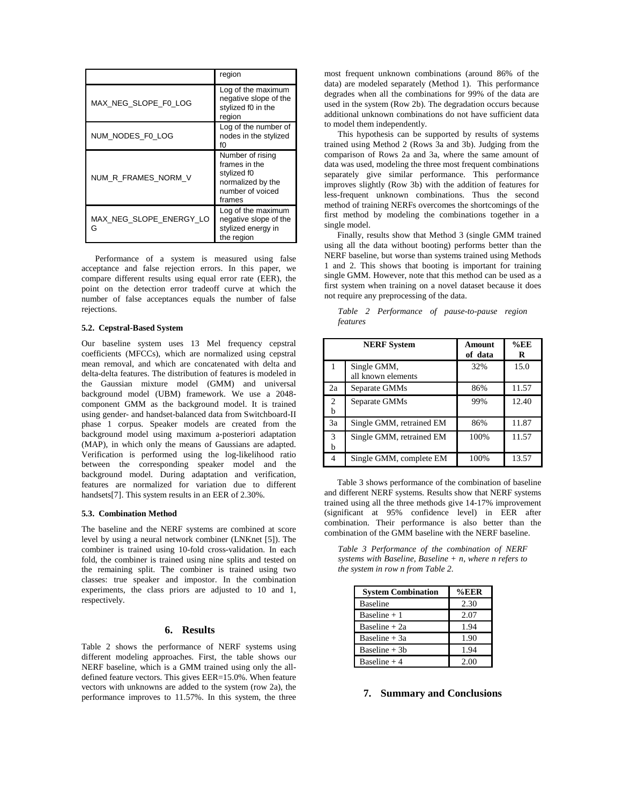|                              | region                                                                                              |
|------------------------------|-----------------------------------------------------------------------------------------------------|
| MAX NEG SLOPE F0 LOG         | Log of the maximum<br>negative slope of the<br>stylized f0 in the<br>region                         |
| NUM NODES F0 LOG             | Log of the number of<br>nodes in the stylized<br>f0                                                 |
| NUM R_FRAMES_NORM_V          | Number of rising<br>frames in the<br>stylized f0<br>normalized by the<br>number of voiced<br>frames |
| MAX NEG SLOPE ENERGY LO<br>G | Log of the maximum<br>negative slope of the<br>stylized energy in<br>the region                     |

Performance of a system is measured using false acceptance and false rejection errors. In this paper, we compare different results using equal error rate (EER), the point on the detection error tradeoff curve at which the number of false acceptances equals the number of false rejections.

#### **5.2. Cepstral-Based System**

Our baseline system uses 13 Mel frequency cepstral coefficients (MFCCs), which are normalized using cepstral mean removal, and which are concatenated with delta and delta-delta features. The distribution of features is modeled in the Gaussian mixture model (GMM) and universal background model (UBM) framework. We use a 2048 component GMM as the background model. It is trained using gender- and handset-balanced data from Switchboard-II phase 1 corpus. Speaker models are created from the background model using maximum a-posteriori adaptation (MAP), in which only the means of Gaussians are adapted. Verification is performed using the log-likelihood ratio between the corresponding speaker model and the background model. During adaptation and verification, features are normalized for variation due to different handsets[7]. This system results in an EER of 2.30%.

#### **5.3. Combination Method**

The baseline and the NERF systems are combined at score level by using a neural network combiner (LNKnet [5]). The combiner is trained using 10-fold cross-validation. In each fold, the combiner is trained using nine splits and tested on the remaining split. The combiner is trained using two classes: true speaker and impostor. In the combination experiments, the class priors are adjusted to 10 and 1, respectively.

## **6. Results**

Table 2 shows the performance of NERF systems using different modeling approaches. First, the table shows our NERF baseline, which is a GMM trained using only the alldefined feature vectors. This gives EER=15.0%. When feature vectors with unknowns are added to the system (row 2a), the performance improves to 11.57%. In this system, the three

most frequent unknown combinations (around 86% of the data) are modeled separately (Method 1). This performance degrades when all the combinations for 99% of the data are used in the system (Row 2b). The degradation occurs because additional unknown combinations do not have sufficient data to model them independently.

This hypothesis can be supported by results of systems trained using Method 2 (Rows 3a and 3b). Judging from the comparison of Rows 2a and 3a, where the same amount of data was used, modeling the three most frequent combinations separately give similar performance. This performance improves slightly (Row 3b) with the addition of features for less-frequent unknown combinations. Thus the second method of training NERFs overcomes the shortcomings of the first method by modeling the combinations together in a single model.

Finally, results show that Method 3 (single GMM trained using all the data without booting) performs better than the NERF baseline, but worse than systems trained using Methods 1 and 2. This shows that booting is important for training single GMM. However, note that this method can be used as a first system when training on a novel dataset because it does not require any preprocessing of the data.

*Table 2 Performance of pause-to-pause region features* 

|                     | <b>NERF</b> System                | Amount<br>of data | $%$ EE<br>R |
|---------------------|-----------------------------------|-------------------|-------------|
| 1                   | Single GMM,<br>all known elements | 32%               | 15.0        |
| 2a                  | Separate GMMs                     | 86%               | 11.57       |
| $\overline{c}$<br>h | Separate GMMs                     | 99%               | 12.40       |
| 3a                  | Single GMM, retrained EM          | 86%               | 11.87       |
| 3<br>b              | Single GMM, retrained EM          | 100%              | 11.57       |
| 4                   | Single GMM, complete EM           | 100%              | 13.57       |

Table 3 shows performance of the combination of baseline and different NERF systems. Results show that NERF systems trained using all the three methods give 14-17% improvement (significant at 95% confidence level) in EER after combination. Their performance is also better than the combination of the GMM baseline with the NERF baseline.

*Table 3 Performance of the combination of NERF systems with Baseline, Baseline + n, where n refers to the system in row n from Table 2.* 

| <b>System Combination</b> | $%$ EER |
|---------------------------|---------|
| <b>Baseline</b>           | 2.30    |
| Baseline $+1$             | 2.07    |
| Baseline + 2a             | 1.94    |
| Baseline $+3a$            | 1.90    |
| Baseline $+3b$            | 1.94    |
| Baseline $+4$             | 2.00    |

## **7. Summary and Conclusions**